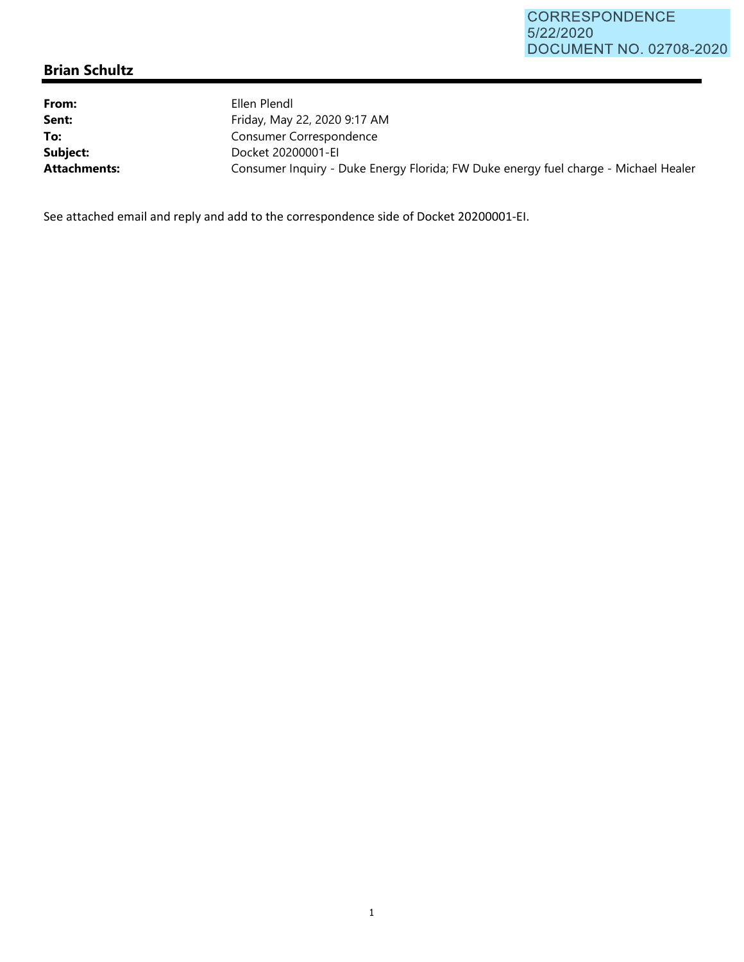## **Brian Schultz**

| From:<br>Sent:      | Ellen Plendl<br>Friday, May 22, 2020 9:17 AM                                        |
|---------------------|-------------------------------------------------------------------------------------|
| To:                 | Consumer Correspondence                                                             |
| Subject:            | Docket 20200001-EI                                                                  |
| <b>Attachments:</b> | Consumer Inquiry - Duke Energy Florida; FW Duke energy fuel charge - Michael Healer |

See attached email and reply and add to the correspondence side of Docket 20200001‐EI.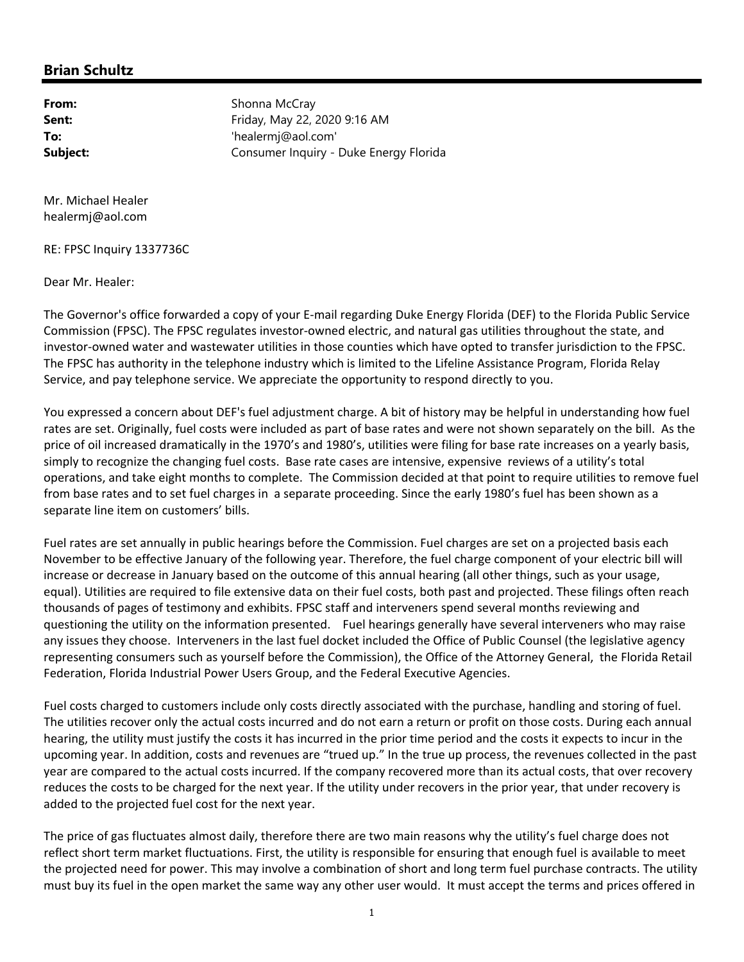## **Brian Schultz**

**From:** Shonna McCray **Sent:** Friday, May 22, 2020 9:16 AM **To:** 'healermj@aol.com' **Subject:** Consumer Inquiry - Duke Energy Florida

Mr. Michael Healer healermj@aol.com

RE: FPSC Inquiry 1337736C

Dear Mr. Healer:

The Governor's office forwarded a copy of your E‐mail regarding Duke Energy Florida (DEF) to the Florida Public Service Commission (FPSC). The FPSC regulates investor‐owned electric, and natural gas utilities throughout the state, and investor‐owned water and wastewater utilities in those counties which have opted to transfer jurisdiction to the FPSC. The FPSC has authority in the telephone industry which is limited to the Lifeline Assistance Program, Florida Relay Service, and pay telephone service. We appreciate the opportunity to respond directly to you.

You expressed a concern about DEF's fuel adjustment charge. A bit of history may be helpful in understanding how fuel rates are set. Originally, fuel costs were included as part of base rates and were not shown separately on the bill. As the price of oil increased dramatically in the 1970's and 1980's, utilities were filing for base rate increases on a yearly basis, simply to recognize the changing fuel costs. Base rate cases are intensive, expensive reviews of a utility's total operations, and take eight months to complete. The Commission decided at that point to require utilities to remove fuel from base rates and to set fuel charges in a separate proceeding. Since the early 1980's fuel has been shown as a separate line item on customers' bills.

Fuel rates are set annually in public hearings before the Commission. Fuel charges are set on a projected basis each November to be effective January of the following year. Therefore, the fuel charge component of your electric bill will increase or decrease in January based on the outcome of this annual hearing (all other things, such as your usage, equal). Utilities are required to file extensive data on their fuel costs, both past and projected. These filings often reach thousands of pages of testimony and exhibits. FPSC staff and interveners spend several months reviewing and questioning the utility on the information presented. Fuel hearings generally have several interveners who may raise any issues they choose. Interveners in the last fuel docket included the Office of Public Counsel (the legislative agency representing consumers such as yourself before the Commission), the Office of the Attorney General, the Florida Retail Federation, Florida Industrial Power Users Group, and the Federal Executive Agencies.

Fuel costs charged to customers include only costs directly associated with the purchase, handling and storing of fuel. The utilities recover only the actual costs incurred and do not earn a return or profit on those costs. During each annual hearing, the utility must justify the costs it has incurred in the prior time period and the costs it expects to incur in the upcoming year. In addition, costs and revenues are "trued up." In the true up process, the revenues collected in the past year are compared to the actual costs incurred. If the company recovered more than its actual costs, that over recovery reduces the costs to be charged for the next year. If the utility under recovers in the prior year, that under recovery is added to the projected fuel cost for the next year.

The price of gas fluctuates almost daily, therefore there are two main reasons why the utility's fuel charge does not reflect short term market fluctuations. First, the utility is responsible for ensuring that enough fuel is available to meet the projected need for power. This may involve a combination of short and long term fuel purchase contracts. The utility must buy its fuel in the open market the same way any other user would. It must accept the terms and prices offered in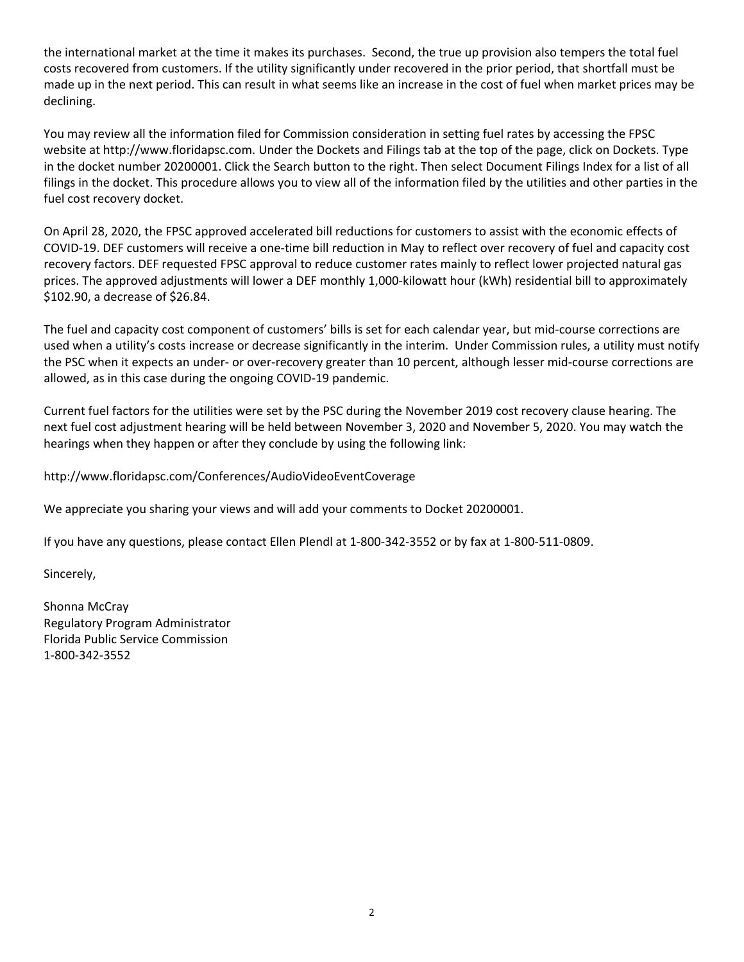the international market at the time it makes its purchases. Second, the true up provision also tempers the total fuel costs recovered from customers. If the utility significantly under recovered in the prior period, that shortfall must be made up in the next period. This can result in what seems like an increase in the cost of fuel when market prices may be declining.

You may review all the information filed for Commission consideration in setting fuel rates by accessing the FPSC website at http://www.floridapsc.com. Under the Dockets and Filings tab at the top of the page, click on Dockets. Type in the docket number 20200001. Click the Search button to the right. Then select Document Filings Index for a list of all filings in the docket. This procedure allows you to view all of the information filed by the utilities and other parties in the fuel cost recovery docket.

On April 28, 2020, the FPSC approved accelerated bill reductions for customers to assist with the economic effects of COVID‐19. DEF customers will receive a one‐time bill reduction in May to reflect over recovery of fuel and capacity cost recovery factors. DEF requested FPSC approval to reduce customer rates mainly to reflect lower projected natural gas prices. The approved adjustments will lower a DEF monthly 1,000‐kilowatt hour (kWh) residential bill to approximately \$102.90, a decrease of \$26.84.

The fuel and capacity cost component of customers' bills is set for each calendar year, but mid‐course corrections are used when a utility's costs increase or decrease significantly in the interim. Under Commission rules, a utility must notify the PSC when it expects an under‐ or over‐recovery greater than 10 percent, although lesser mid‐course corrections are allowed, as in this case during the ongoing COVID‐19 pandemic.

Current fuel factors for the utilities were set by the PSC during the November 2019 cost recovery clause hearing. The next fuel cost adjustment hearing will be held between November 3, 2020 and November 5, 2020. You may watch the hearings when they happen or after they conclude by using the following link:

## http://www.floridapsc.com/Conferences/AudioVideoEventCoverage

We appreciate you sharing your views and will add your comments to Docket 20200001.

If you have any questions, please contact Ellen Plendl at 1‐800‐342‐3552 or by fax at 1‐800‐511‐0809.

Sincerely,

Shonna McCray Regulatory Program Administrator Florida Public Service Commission 1‐800‐342‐3552